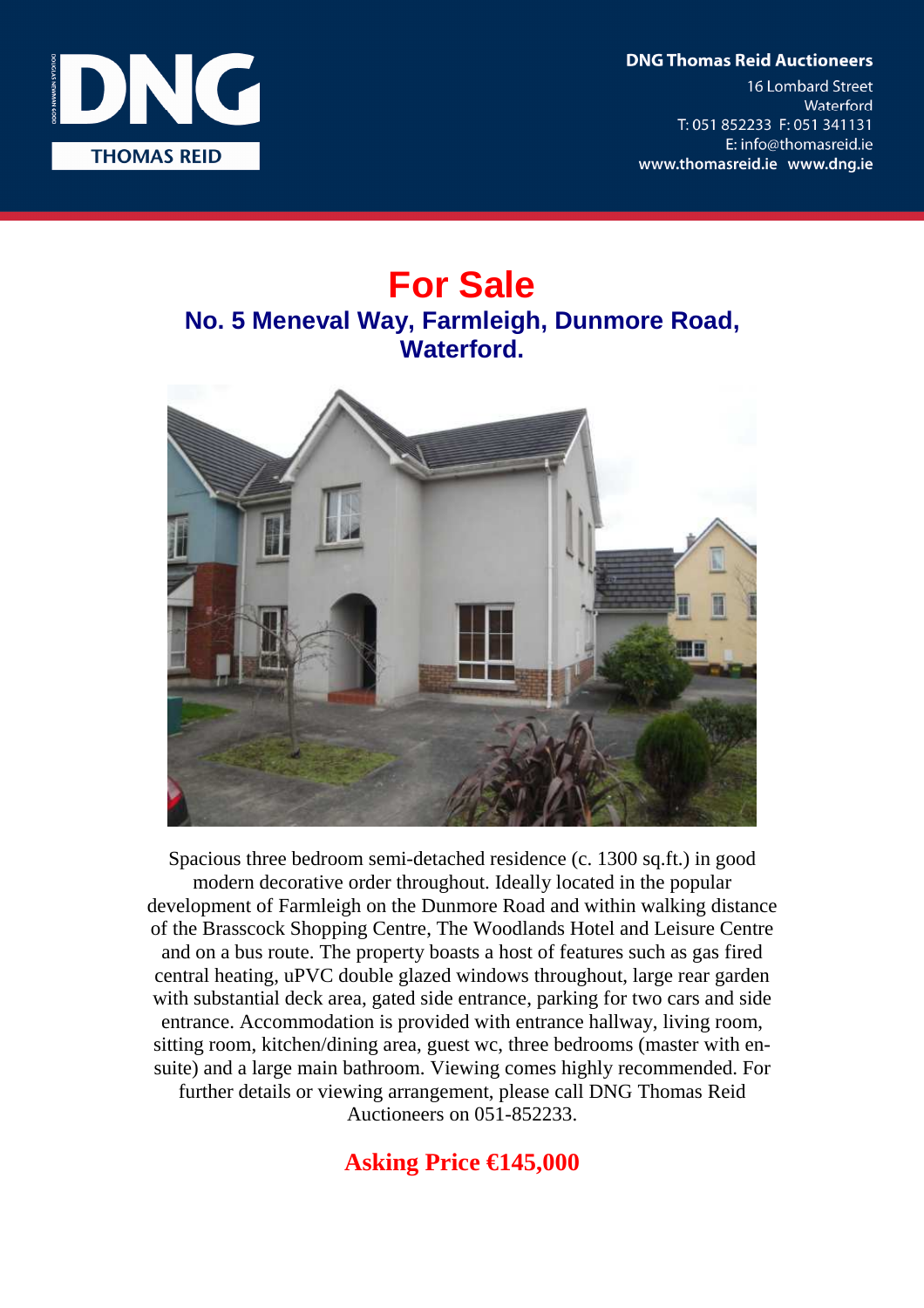**DNG Thomas Reid Auctioneers** 

**16 Lombard Street** Waterford T: 051 852233 F: 051 341131 E: info@thomasreid.ie www.thomasreid.ie www.dng.ie



# **For Sale No. 5 Meneval Way, Farmleigh, Dunmore Road, Waterford.**



Spacious three bedroom semi-detached residence (c. 1300 sq.ft.) in good modern decorative order throughout. Ideally located in the popular development of Farmleigh on the Dunmore Road and within walking distance of the Brasscock Shopping Centre, The Woodlands Hotel and Leisure Centre and on a bus route. The property boasts a host of features such as gas fired central heating, uPVC double glazed windows throughout, large rear garden with substantial deck area, gated side entrance, parking for two cars and side entrance. Accommodation is provided with entrance hallway, living room, sitting room, kitchen/dining area, guest wc, three bedrooms (master with ensuite) and a large main bathroom. Viewing comes highly recommended. For further details or viewing arrangement, please call DNG Thomas Reid Auctioneers on 051-852233.

# **Asking Price €145,000**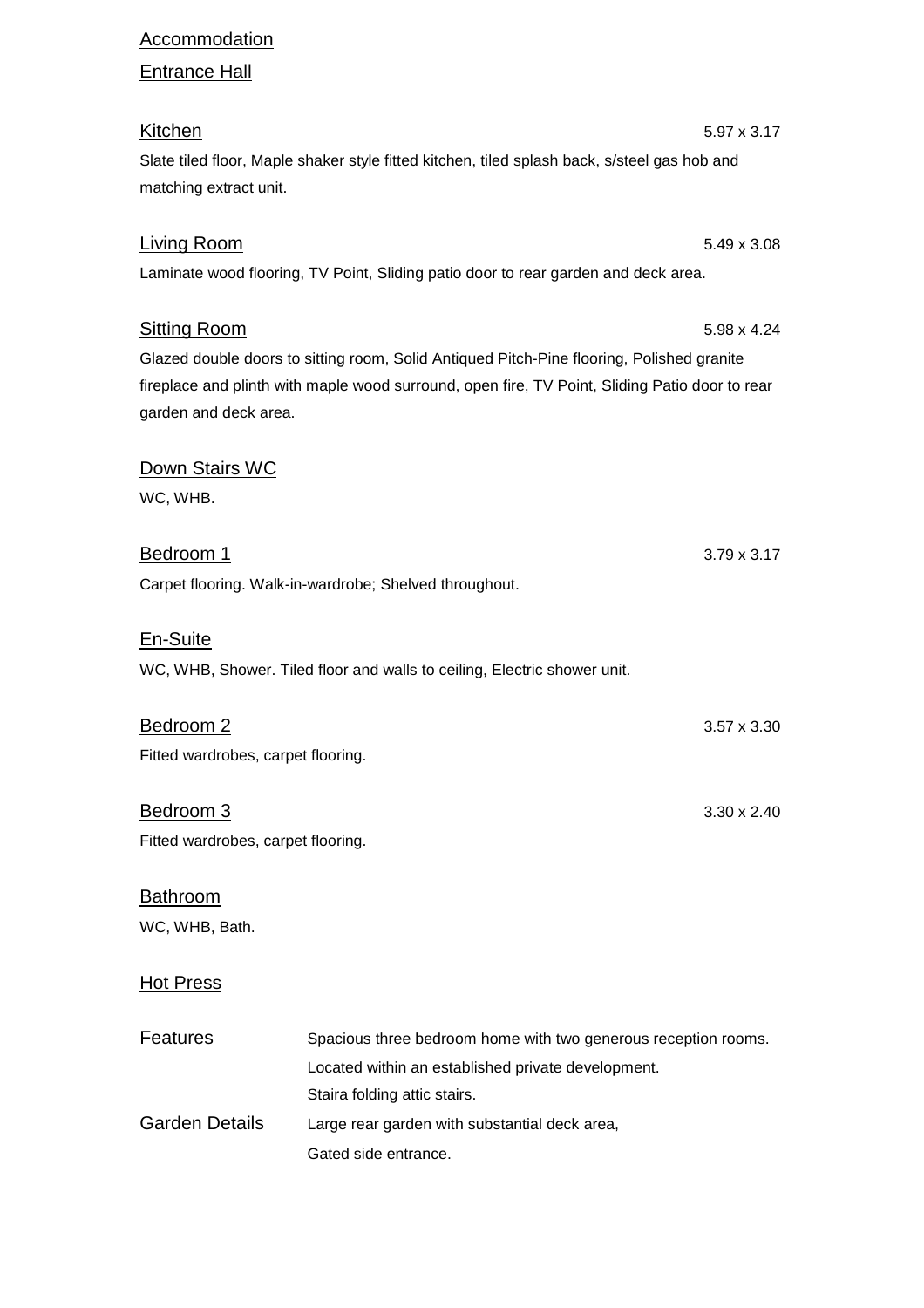#### **Accommodation**

## Entrance Hall

| <b>Kitchen</b>                                                                                 | $5.97 \times 3.17$ |
|------------------------------------------------------------------------------------------------|--------------------|
| Slate tiled floor, Maple shaker style fitted kitchen, tiled splash back, s/steel gas hob and   |                    |
| matching extract unit.                                                                         |                    |
|                                                                                                |                    |
| <b>Living Room</b>                                                                             | 5.49 x 3.08        |
| Laminate wood flooring, TV Point, Sliding patio door to rear garden and deck area.             |                    |
|                                                                                                |                    |
| <b>Sitting Room</b>                                                                            | 5.98 x 4.24        |
| Glazed double doors to sitting room, Solid Antiqued Pitch-Pine flooring, Polished granite      |                    |
| fireplace and plinth with maple wood surround, open fire, TV Point, Sliding Patio door to rear |                    |
| garden and deck area.                                                                          |                    |
|                                                                                                |                    |
| Down Stairs WC                                                                                 |                    |
| WC, WHB.                                                                                       |                    |
|                                                                                                |                    |
| <u>Bedroom 1</u>                                                                               | $3.79 \times 3.17$ |
| Carpet flooring. Walk-in-wardrobe; Shelved throughout.                                         |                    |
|                                                                                                |                    |
|                                                                                                |                    |

En-Suite WC, WHB, Shower. Tiled floor and walls to ceiling, Electric shower unit.

| Bedroom 2                          | $3.57 \times 3.30$ |
|------------------------------------|--------------------|
| Fitted wardrobes, carpet flooring. |                    |
|                                    |                    |

Bedroom 3 3.30 x 2.40 Fitted wardrobes, carpet flooring.

## **Bathroom** WC, WHB, Bath.

### Hot Press

| <b>Features</b>       | Spacious three bedroom home with two generous reception rooms. |
|-----------------------|----------------------------------------------------------------|
|                       | Located within an established private development.             |
|                       | Staira folding attic stairs.                                   |
| <b>Garden Details</b> | Large rear garden with substantial deck area,                  |
|                       | Gated side entrance.                                           |